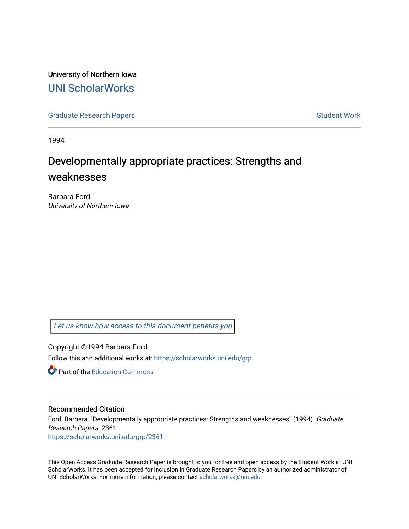University of Northern Iowa [UNI ScholarWorks](https://scholarworks.uni.edu/) 

[Graduate Research Papers](https://scholarworks.uni.edu/grp) **Student Work** Student Work

1994

# Developmentally appropriate practices: Strengths and weaknesses

Barbara Ford University of Northern Iowa

[Let us know how access to this document benefits you](https://scholarworks.uni.edu/feedback_form.html) 

Copyright ©1994 Barbara Ford Follow this and additional works at: [https://scholarworks.uni.edu/grp](https://scholarworks.uni.edu/grp?utm_source=scholarworks.uni.edu%2Fgrp%2F2361&utm_medium=PDF&utm_campaign=PDFCoverPages) 

**C** Part of the [Education Commons](http://network.bepress.com/hgg/discipline/784?utm_source=scholarworks.uni.edu%2Fgrp%2F2361&utm_medium=PDF&utm_campaign=PDFCoverPages)

# Recommended Citation

Ford, Barbara, "Developmentally appropriate practices: Strengths and weaknesses" (1994). Graduate Research Papers. 2361. [https://scholarworks.uni.edu/grp/2361](https://scholarworks.uni.edu/grp/2361?utm_source=scholarworks.uni.edu%2Fgrp%2F2361&utm_medium=PDF&utm_campaign=PDFCoverPages) 

This Open Access Graduate Research Paper is brought to you for free and open access by the Student Work at UNI ScholarWorks. It has been accepted for inclusion in Graduate Research Papers by an authorized administrator of UNI ScholarWorks. For more information, please contact [scholarworks@uni.edu.](mailto:scholarworks@uni.edu)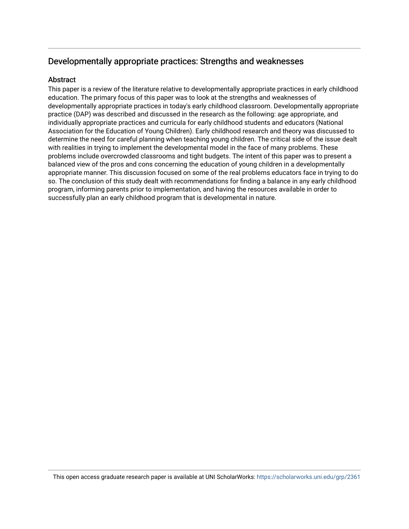# Developmentally appropriate practices: Strengths and weaknesses

# **Abstract**

This paper is a review of the literature relative to developmentally appropriate practices in early childhood education. The primary focus of this paper was to look at the strengths and weaknesses of developmentally appropriate practices in today's early childhood classroom. Developmentally appropriate practice (DAP) was described and discussed in the research as the following: age appropriate, and individually appropriate practices and curricula for early childhood students and educators (National Association for the Education of Young Children). Early childhood research and theory was discussed to determine the need for careful planning when teaching young children. The critical side of the issue dealt with realities in trying to implement the developmental model in the face of many problems. These problems include overcrowded classrooms and tight budgets. The intent of this paper was to present a balanced view of the pros and cons concerning the education of young children in a developmentally appropriate manner. This discussion focused on some of the real problems educators face in trying to do so. The conclusion of this study dealt with recommendations for finding a balance in any early childhood program, informing parents prior to implementation, and having the resources available in order to successfully plan an early childhood program that is developmental in nature.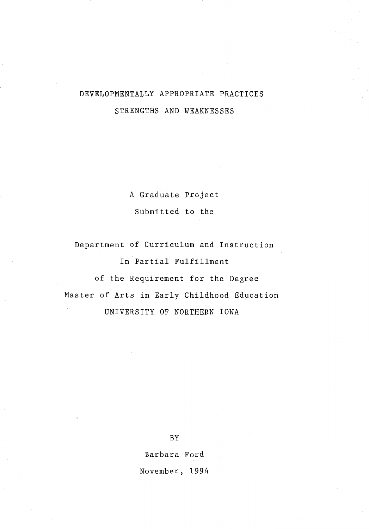# DEVELOPMENTALLY APPROPRIATE PRACTICES STRENGTHS AND WEAKNESSES

A Graduate Project Submitted to the

Department of Curriculum and Instruction In Partial Fulfillment of the Requirement for the Degree Master of Arts in Early Childhood Education UNIVERSITY OF NORTHERN IOWA

BY

Barbara Ford

November, 1994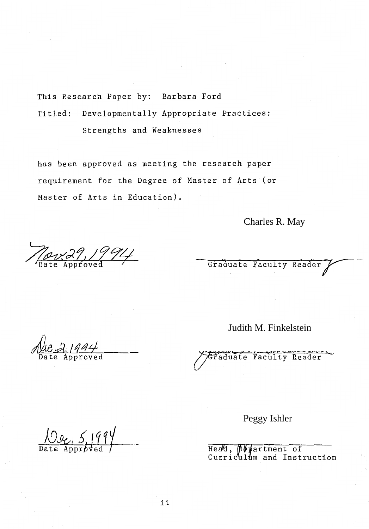This Research Paper by: Barbara Ford Titled: Developmentally Appropriate Practices: Strengths and Weaknesses

has been approved as meeting the research paper requirement for the Degree of Master of Arts (or Master of Arts in Education).

Charles R. May

<u> Nov39, 1994</u>

Graduate Faculty Reader

 $2,1994$ 

Judith M. Finkelstein

Graduate Faculty Reader

Date Approved Tead, purinent of

m and Instruction Peggy Ishler<br>
Head, pepartment<br>
Curriculum and In<br>
ii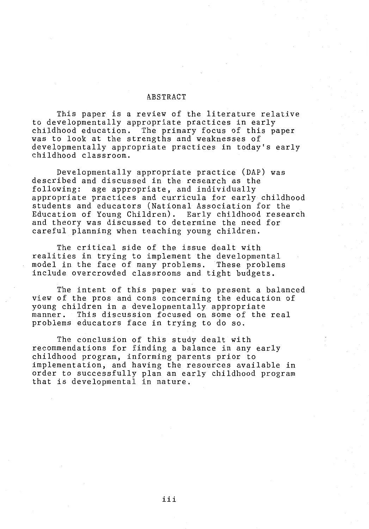## ABSTRACT

This paper is a review of the literature relative to developmentally appropriate practices in early<br>childhood education. The primary focus of this pa The primary focus of this paper was to look at the strengths and weaknesses of developmentally appropriate practices in today's early childhood classroom.

Developmentally appropriate practice (DAP) was described and discussed in the research as the following: age appropriate, and individually appropriate practices and curricula for early childhood students and educators (National Association for the Education of Young Children). Early childhood research and theory was discussed to determine the need for careful planning when teaching young children.

The critical side of the issue dealt with realities in trying to implement the developmental model in the face of many problems. These problems include overcrowded classrooms and tight budgets.

The intent of this paper was to present a balanced view of the pros and cons concerning the education of young children in a developmentally appropriate manner. This discussion focused on some of the real problems educators face in trying to do so.

The conclusion of this study dealt with recommendations for finding a balance in any early childhood program, informing parents prior to implementation, and having the resources available in order to successfully plan an early childhood program that is developmental in nature.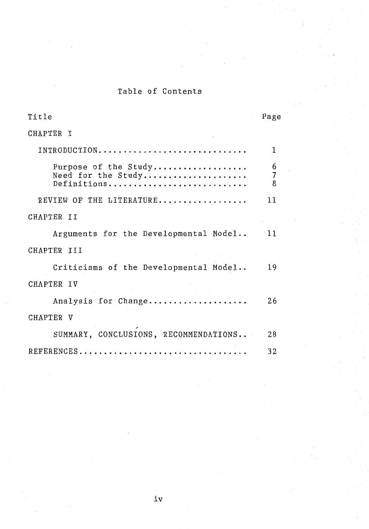# Table of Contents

| Title                                                     | Page                     |
|-----------------------------------------------------------|--------------------------|
| CHAPTER I                                                 |                          |
| INTRODUCTION                                              | 1                        |
| Purpose of the Study<br>Need for the Study<br>Definitions | 6<br>$\overline{7}$<br>8 |
| REVIEW OF THE LITERATURE                                  | 11                       |
| CHAPTER II                                                |                          |
| Arguments for the Developmental Model                     | $-11$                    |
| CHAPTER III                                               |                          |
| Criticisms of the Developmental Model                     | 19                       |
| CHAPTER IV                                                |                          |
| Analysis for Change                                       | 26                       |
| CHAPTER V                                                 |                          |
| SUMMARY, CONCLUSIONS, RECOMMENDATIONS                     | 28                       |
|                                                           | 32                       |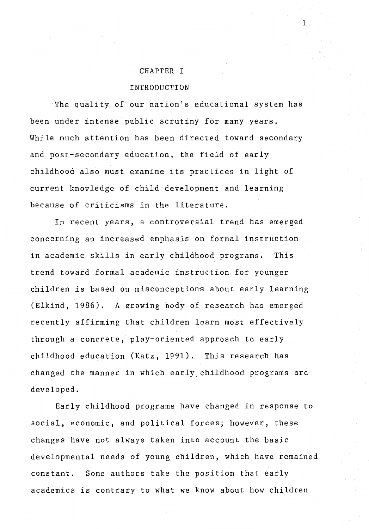#### CHAPTER I

#### INTRODUCTION

The quality of our nation's educational system has been under intense public scrutiny for many years. While much attention has been directed toward secondary and post-secondary education, the field of early childhood also must examine its practices in light of current knowledge of child development and learning because of criticisms in the literature.

In recent years, a controversial trend has emerged concerning an increased emphasis on formal instruction in academic skills in early childhood programs. This trend toward formal academic instruction for younger children is based on misconceptions about early learning (Elkind, 1986). A growing body of research has emerged recently affirming that children learn most effectively through a concrete, play-oriented approach to early childhood education (Katz, 1991). This research has changed the manner in which early, childhood programs are developed.

Early childhood programs have changed in response to social, economic, and political forces; however, these changes have not always taken into account the basic developmental needs of young children, which have remained constant. Some authors take the position that early academics is contrary to what we know about how children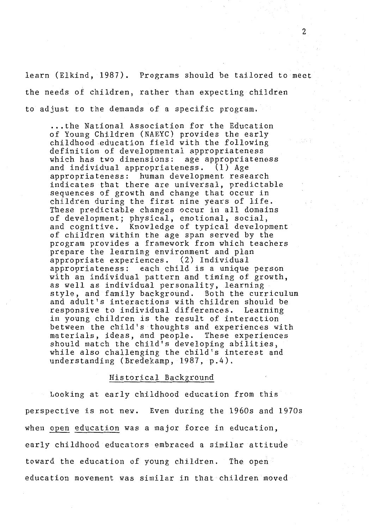learn (Elkind, 1987). Programs should be tailored to meet the needs of children, rather than expecting children to adjust to the demands of a specific program .

.. . the National Association for the Education of Young Children (NAEYC) provides the early childhood education field with the following definition of developmental appropriateness which has two dimensions: age appropriateness and individual appropriateness. (1) Age appropriateness: human development research indicates that there are universal, predictable sequences of growth and change that occur in children during the first nine years of life. These predictable changes occur in all domains of development; physical, emotional, social, and cognitive. Knowledge of typical development of children within the age span served by the program provides a framework from which teachers prepare the learning environment and plan appropriate experiences. (2) Individual appropriateness: each child is a unique person with an individual pattern and timing of growth, as well as individual personality, learning style, and family background. Both the curriculum and adult's interactions with children should be responsive to individual differences. Learning in young children is the result of interaction between the child's thoughts and experiences with<br>materials, ideas, and people. These experiences materials, ideas, and people. should match the child's developing abilities, while also challenging the child's interest and understanding (Bredekamp, 1987, p.4).

#### Historical Background

Looking at early childhood education from this perspective is not new. Even during the 1960s and 1970s when open education was a major force in education, early childhood educators embraced a similar attitude toward the education of young children. The open education movement was similar in that children moved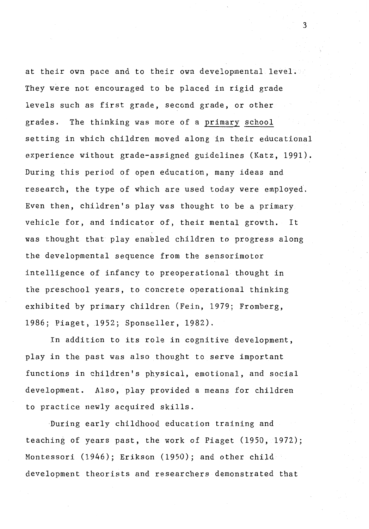at their own pace and to their own developmental level. They were not encouraged to be placed in rigid grade levels such as first grade, second grade, or other grades. The thinking was more of a primary school setting in which children moved along in their educational experience without grade-assigned guidelines (Katz, 1991). During this period of open education, many ideas and research, the type of which are used today were employed. Even then, children's play was thought to be a primary vehicle for, and indicator of, their mental growth. It was thought that play enabled children to progress along the developmental sequence from the sensorimotor intelligence of infancy to preoperational thought in the preschool years, to concrete operational thinking exhibited by primary children (Fein, 1979; Fromberg, 1986; Piaget, 1952; Sponseller, 1982).

In addition to its role in cognitive development, play in the past was also thought to serve important functions in children's physical, emotional, and social development. Also, play provided a means for children to practice newly acquired skills.

During early childhood education training and teaching of years past, the work of Piaget (1950, 1972); Montessori (1946); Erikson (1950); and other child development theorists and researchers demonstrated that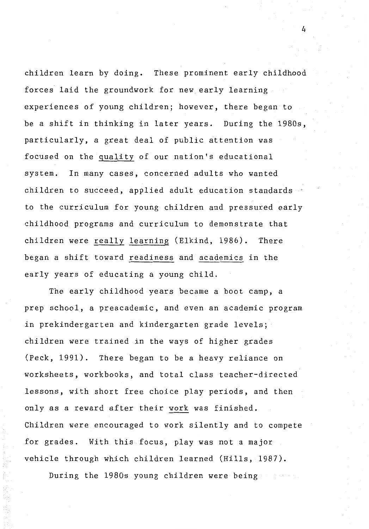children learn by doing. These prominent early childhood forces laid the groundwork for new early learning experiences of young children; however, there began to be a shift in thinking in later years. During the 1980s, particularly, a great deal of public attention was focused on the quality of our nation's educational system. In many cases, concerned adults who wanted children to succeed, applied adult education standards to the curriculum for young children and pressured early childhood programs and curriculum to demonstrate that children were really learning (Elkind, 1986). There began a shift toward readiness and academics in the early years of educating a young child.

The early childhood years became a boot camp, a prep school, a preacademic, and even an academic program in prekindergarten and kindergarten grade levels; children were trained in the ways of higher grades (Peck, 1991). There began to be a heavy reliance on worksheets, workbooks, and total class teacher-directed lessons, with short free choice play periods, and then only as a reward after their work was finished. Children were encouraged to work silently and to compete for grades. With this focus, play was not a major vehicle through which children learned (Hills, 1987).

During the 1980s young children were being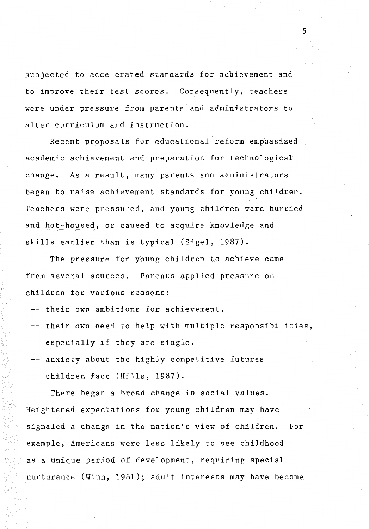subjected to accelerated standards for achievement and to improve their test scores. Consequently, teachers were under pressure from parents and administrators to alter curriculum and instruction.

Recent proposals for educational reform emphasized academic achievement and preparation for technological change. As a result, many parents and administrators began to raise achievement standards for young children. Teachers were pressured, and young children were hurried and hot-housed, or caused to acquire knowledge and skills earlier than is typical (Sigel, 1987).

The pressure for young children to achieve came from several sources. Parents applied pressure on children for various reasons:

- -- their own ambitions for achievement.
- -- their own need to help with multiple responsibilities, especially if they are single.
- -- anxiety about the highly competitive futures children face (Hills, 1987).

There began a broad change in social values. Heightened expectations for young children may have signaled a change in the nation's view of children. For example, Americans were less likely to see childhood as a unique period of development, requiring special nurturance (Winn, 1981); adult interests may have become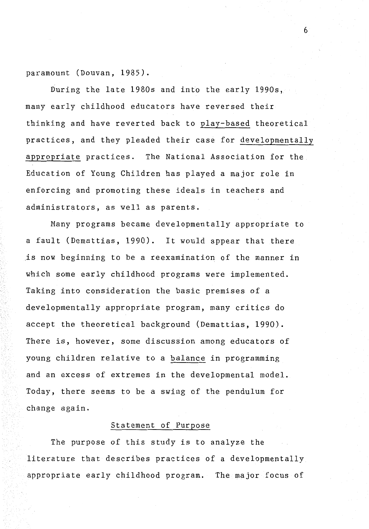paramount (Douvan, 1985).

During the late 1980s and into the early 1990s, many early childhood educators have reversed their thinking and have reverted back to play-based theoretical practices, and they pleaded their case for developmentally appropriate practices. The National Association for the Education of Young Children has played a major role in enforcing and promoting these ideals in teachers and administrators, as well as parents.

6

Many programs became developmentally appropriate to a fault (Demattias, 1990). It would appear that there is now beginning to be a reexamination of the manner in which some early childhood programs were implemented. Taking into consideration the basic premises of a developmentally appropriate program, many critics do accept the theoretical background (Demattias, 1990). There is, however, some discussion among educators of young children relative to a balance in programming and an excess of extremes in the developmental model. Today, there seems to be a swing of the pendulum for change again.

#### Statement of Purpose

The purpose of this study is to analyze the literature that describes practices of a developmentally appropriate early childhood program. The major focus of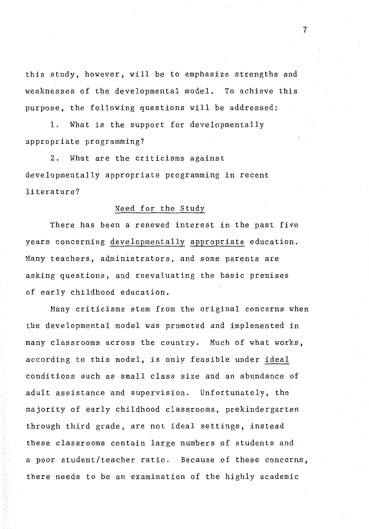this study, however, will be to emphasize strengths and weaknesses of the developmental model. To achieve this purpose, the following questions will be addressed:

1. What is the support for developmentally appropriate programming?

2. What are the criticisms against developmentally appropriate programming in recent literature?

#### Need for the Study

There has been a renewed interest in the past five years concerning developmentally appropriate education. Many teachers, administrators, and some parents are asking questions, and reevaluating the basic premises of early childhood education.

Many criticisms stem from the original concerns when the developmental model was promoted and implemented in many classrooms across the country. Much of what works, according to this model, is only feasible under ideal conditions such as small class size and an abundance of adult assistance and supervision. Unfortunately, the majority of early childhood classrooms, prekindergarten through third grade, are not ideal settings, instead these classrooms contain large numbers of students and a poor student/teacher ratio. Because of these concerns, there needs to be an examination of the highly academic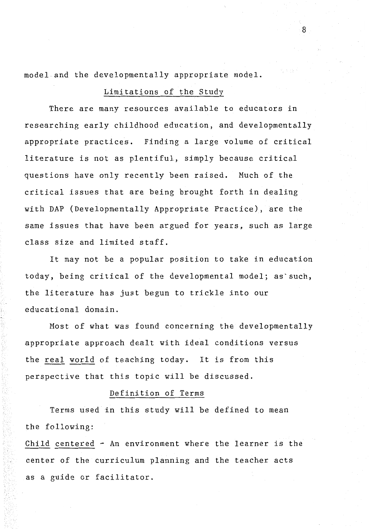model and the developmentally appropriate model.

# Limitations of the Study

There are many resources available to educators in researching early childhood education, and developmentally appropriate practices. Finding a large volume of critical literature is not as plentiful, simply because critical questions have only recently been raised. Much of the critical issues that are being brought forth in dealing with DAP (Developmentally Appropriate Practice), are the same issues that have been argued for years, such as large class size and limited staff.

It may not be a popular position to take in education today, being critical of the developmental model; as'such, the literature has just begun to trickle into our educational domain.

Most of what was found concerning the developmentally appropriate approach dealt with ideal conditions versus the real world of teaching today. It is from this perspective that this topic will be discussed.

# Definition of Terms

Terms used in this study will be defined to mean the following:

Child centered - An environment where the learner is the center of the curriculum planning and the teacher acts as a guide or facilitator.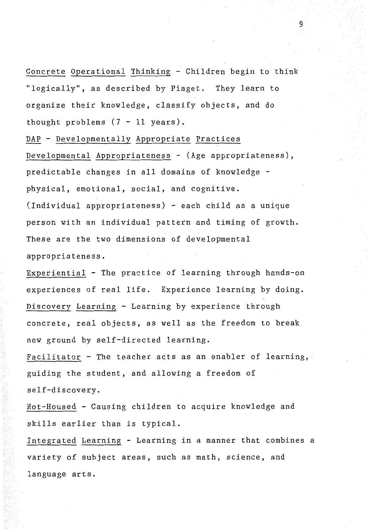Concrete Operational Thinking - Children begin to think "logically'', as described by Piaget. They learn to organize their knowledge, classify objects, and do thought problems  $(7 - 11$  years).

DAP - Developmentally Appropriate Practices Developmental Appropriateness - (Age appropriateness), predictable changes in all domains of knowledge physical, emotional, social, and cognitive. (Individual appropriateness) - each child as a unique person with an individual pattern and timing of growth. These are the two dimensions of developmental appropriateness.

Experiential - The practice of learning through hands-on experiences of real life. Experience learning by doing. Discovery Learning - Learning by experience through concrete, real objects, as well as the freedom to break new ground by self-directed learning.

Facilitator - The teacher acts as an enabler of learning, guiding the student, and allowing a freedom of self-discovery.

Hot-Housed - Causing children to acquire knowledge and skills earlier than is typical.

Integrated Learning - Learning in a manner that combines a variety of subject areas, such as math, science, and language arts.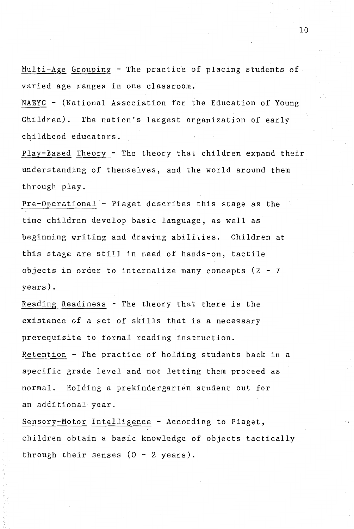Multi-Age Grouping - The practice of placing students of varied age ranges in one classroom.

NAEYC - (National Association for the Education of Young Children). The nation's largest organization of early childhood educators.

Play-Based Theory - The theory that children expand their understanding of themselves, and the world around them through play.

Pre-Operational - Piaget describes this stage as the time children develop basic language, as well as beginning writing and drawing abilities. Children at this stage are still in need of hands-on, tactile objects in order to internalize many concepts  $(2 - 7)$ years).

Reading Readiness - The theory that there is the existence of a set of skills that is a necessary prerequisite to formal reading instruction. Retention - The practice of holding students back in a specific grade level and not letting them proceed as normal. Holding a prekindergarten student out for an additional year.

Sensory-Motor Intelligence - According to Piaget, children obtain a basic knowledge of objects tactically through their senses  $(0 - 2 \text{ years}).$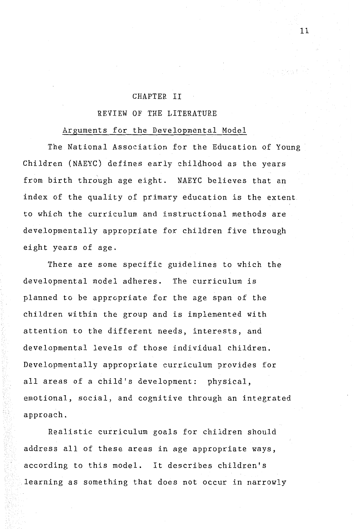### CHAPTER II

### REVIEW OF THE LITERATURE

#### Arguments for the Developmental Model

The National Association for the Education of Young Children (NAEYC) defines early childhood as the years from birth through age eight. NAEYC believes that an index of the quality of primary education is the extent to which the curriculum and instructional methods are developmentally appropriate for children five through eight years of age.

There are some specific guidelines to which the developmental model adheres. The curriculum is planned to be appropriate for the age span of the children within the group and is implemented with attention to the different needs, interests, and developmental levels of those individual children. Developmentally appropriate curriculum provides for all areas of a child's development: physical, emotional, social, and cognitive through an integrated approach.

Realistic curriculum goals for children should address all of these areas in age appropriate ways, according to this model. It describes children's learning as something that does not occur in narrowly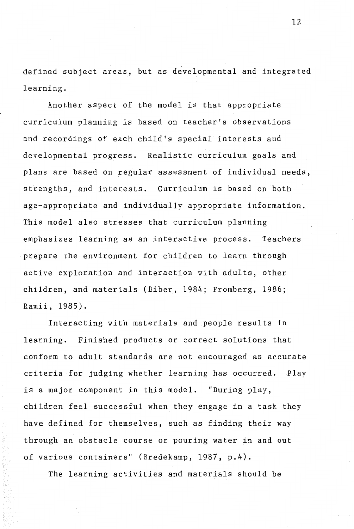defined subject areas, but as developmental and integrated learning.

Another aspect of the model is that appropriate curriculum planning is based on teacher's observations and recordings of each child's special interests and developmental progress. Realistic curriculum goals and plans are based on regular assessment of individual needs, strengths, and interests. Curriculum is based on both age-appropriate and individually appropriate information. This model also stresses that curriculum planning emphasizes learning as an interactive process. Teachers prepare the environment for children to learn through active exploration and interaction with adults, other children, and materials (Biber, 1984; Fromberg, 1986; Ramii, 1985).

Interacting with materials and people results in learning. Finished products or correct solutions that conform to adult standards are not encouraged as accurate criteria for judging whether learning has occurred. Play is a major component in this model. "During play, children feel successful when they engage in a task they have defined for themselves, such as finding their way through an obstacle course or pouring water in and out of various containers" (Bredekamp, 1987, p.4).

The learning activities and materials should be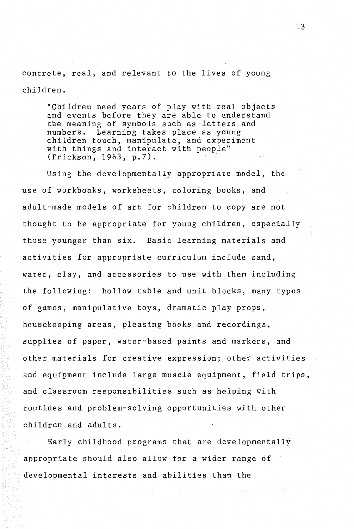concrete, real, and relevant to the lives of young children.

"Children need years of play with real objects and events before they are able to understand the meaning of symbols such as letters and numbers. Learning takes place as young children touch, manipulate, and experiment with things and interact with people" (Erickson, 1963, p.7).

Using the developmentally appropriate model, the use of workbooks, worksheets, coloring books, and adult-made models of art for children to copy are not thought to be appropriate for young children, especially those younger than six. Basic learning materials and activities for appropriate curriculum include sand, water, clay, and accessories to use with them including the following: hollow table and unit blocks, many types of games, manipulative toys, dramatic play props, housekeeping areas, pleasing books and recordings, supplies of paper, water-based paints and markers, and other materials for creative expression; other activities and equipment include large muscle equipment, field trips, and classroom responsibilities such as helping with routines and problem-solving opportunities with other children and adults.

Early childhood programs that are developmentally appropriate should also allow for a wider range of developmental interests and abilities than the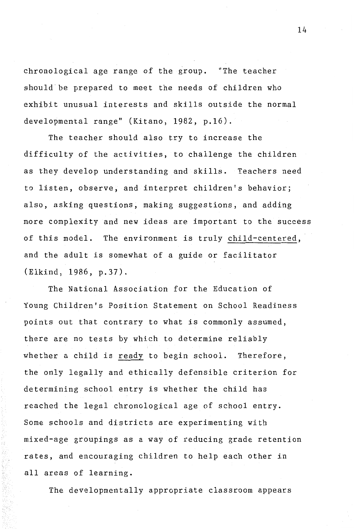chronological age range of the group. "The teacher should be prepared to meet the needs of children who exhibit unusual interests and skills outside the normal developmental range" (Kitano, 1982, p.16).

The teacher should also try to increase the difficulty of the activities, to challenge the children as they develop understanding and skills. Teachers need to listen, observe, and interpret children's behavior; also, asking questions, making suggestions, and adding more complexity and new ideas are important to the success of this model. The environment is truly child-centered, and the adult is somewhat of a guide or facilitator (Elkind, 1986, p.37).

The National Association for the Education of Young Children's Position Statement on School Readiness points out that contrary to what is commonly assumed, there are no tests by which to determine reliably whether a child is ready to begin school. Therefore, the only legally and ethically defensible criterion for determining school entry is whether the child has reached the legal chronological age of school entry. Some schools and districts are experimenting with mixed-age groupings as a way of reducing grade retention rates, and encouraging children to help each other in all areas of learning.

The developmentally appropriate classroom appears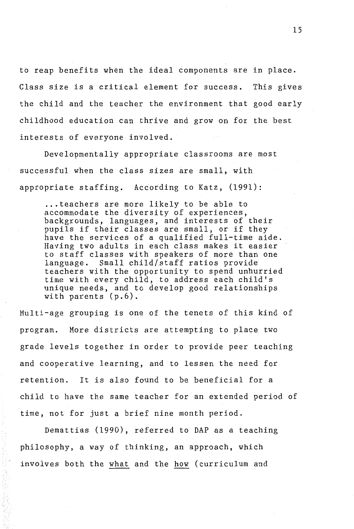to reap benefits when the ideal components are in place. Class size is a critical element for success. This gives the child and the teacher the environment that good early childhood education can thrive and grow on for the best interests of everyone involved.

Developmentally appropriate classrooms are most successful when the class sizes are small, with appropriate staffing. According to Katz, (1991):

... teachers are more likely to be able to accommodate the diversity of experiences, backgrounds, languages, and interests of their pupils if their classes are small, or if they have the services of a qualified full-time aide. Having two adults in each class makes it easier to staff classes with speakers of more than one language. Small child/staff ratios provide teachers with the opportunity to spend unhurried time with every child, to address each child's unique needs, and to develop good relationships with parents (p.6).

Multi-age grouping is one of the tenets of this kind of program. More districts are attempting to place two grade levels together in order to provide peer teaching and cooperative learning, and to lessen the need for retention. It is also found to be beneficial for a child to have the same teacher for an extended period of time, not for just a brief nine month period.

Demattias (1990), referred to DAP as a teaching philosophy, a way of thinking, an approach, which involves both the what and the how (curriculum and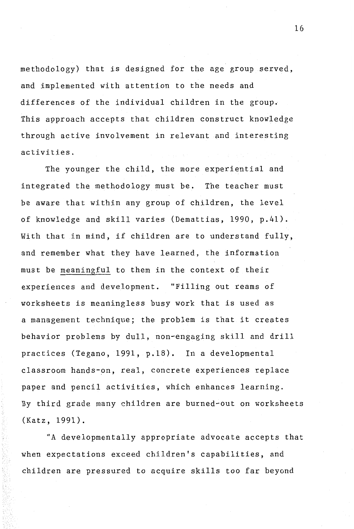methodology) that is designed fot the age group served, and implemented with attention to the needs and differences of the individual children in the group. This approach accepts that children construct knowledge through active involvement in relevant and interesting activities.

The younger the child, the more experiential and integrated the methodology must be. The teacher must be aware that within any group of children, the level of knowledge and skill varies (Demattias, 1990, p.41). With that in mind, if children are to understand fully, and remember what they have learned, the information must be meaningful to them in the context of their experiences and development. "Filling out reams of worksheets is meaningless busy work that is used as a management technique; the problem is that it creates behavior problems by dull, non-engaging skill and drill practices (Tegano, 1991, p.18). In a developmental classroom hands-on, real, concrete experiences replace paper and pencil activities, which enhances learning. By third grade many children are burned-out on worksheets (Katz, 1991).

"A developmentally appropriate advocate accepts that when expectations exceed children's capabilities, and children are pressured to acquire skills too far beyond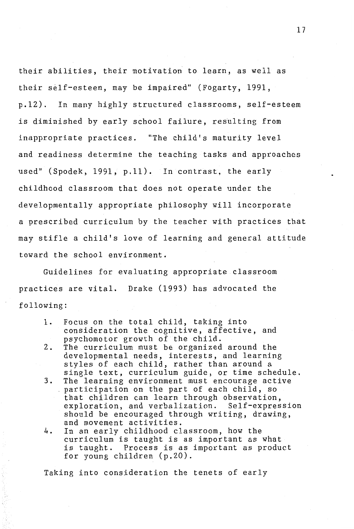their abilities, their motivation to learn, as well as their self-esteem, may be impaired" (Fogarty, 1991, p.12). In many highly structured classrooms, self-esteem is diminished by early school failure, resulting from inappropriate practices. "The child's maturity level and readiness determine the teaching tasks and approaches used" (Spodek, 1991, p.11). In contrast, the early childhood classroom that does not operate under the developmentally appropriate philosophy will incorporate a prescribed curriculum by the teacher with practices that may stifle a child's love of learning and general attitude toward the school environment.

Guidelines for evaluating appropriate classroom practices are vital. Drake (1993) has advocated the following:

- 1. Focus on the total child, taking into consideration the cognitive, affective, and psychomotor growth of the child.
- 2. The curriculum must be organized around the developmental needs, interests, and learning styles of each child, rather than around a single text, curriculum guide, or time schedule.
- 3. The learning environment must encourage active participation on the part of each child, so that children can learn through observation, exploration, and verbalization. Self-expression should be encouraged through writing, drawing, and movement activities.
- 4. In an early childhood classroom, how the curriculum is taught is as important as what is taught. Process is as important as product for young children (p.20).

Taking into consideration the tenets of early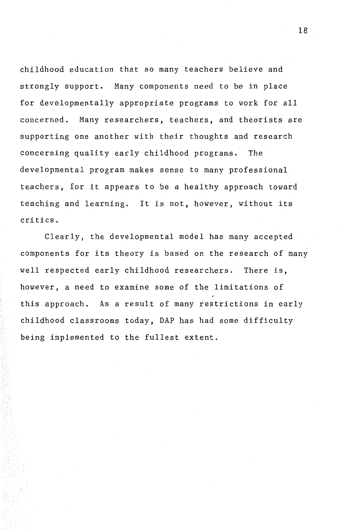childhood education that so many teachers believe and strongly support. Many components need to be in place for developmentally appropriate programs to work for all concerned. Many researchers, teachers, and theorists are supporting one another with their thoughts and research concerning quality early childhood programs. The developmental program makes sense to many professional teachers, for it appears to be a healthy approach toward teaching and learning. It is not, however, without its critics.

Clearly, the developmental model has many accepted components for its theory is based on the research of many well respected early childhood researchers. There is, however, a need to examine some of the limitations of this approach. As a result of many restrictions in early childhood classrooms today, DAP has had some difficulty being implemented to the fullest extent.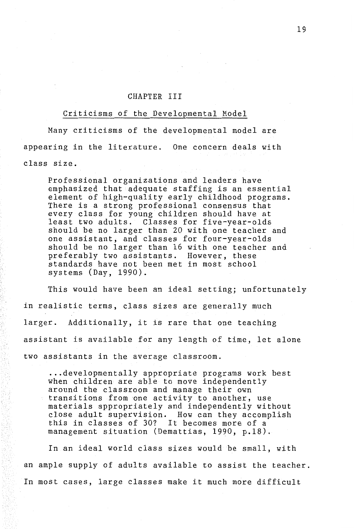#### CHAPTER III

#### Criticisms of the Developmental Model

Many criticisms of the developmental model are appearing in the literature. One concern deals with class size.

Professional organizations and leaders have emphasized that adequate staffing is an essential element of high-quality early childhood programs. There is a strong professional consensus that every class for young children should have at least two adults. Classes for five-year-olds should be no larger than 20 with one teacher and one assistant, and classes for four-year-olds should be no larger than 16 with one teacher and preferably two assistants. However, these standards have not been met in most school systems (Day, 1990).

This would have been an ideal setting; unfortunately in realistic terms, class sizes are generally much larger. Additionally, it is rare that one teaching assistant is available for any length of time, let alone two assistants in the average classroom .

.. . developmentally appropriate programs work best when children are able to move independently around the classroom and manage their own transitions from one activity to another, use materials appropriately and independently without close adult supervision. How can they accomplish this in classes of 30? It becomes more of a management situation (Demattias, 1990, p.18).

In an ideal world class sizes would be small, with an ample supply of adults available to assist the teacher. In most cases, large classes make it much more difficult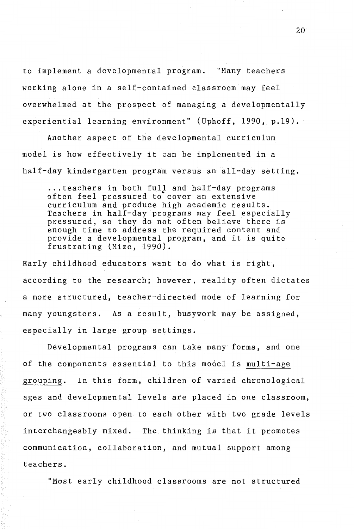to implement a developmental program. "Many teachers working alone in a self-contained classroom may feel overwhelmed at the prospect of managing a developmentally experiential learning environment" (Uphoff, 1990, p.19).

Another aspect of the developmental curriculum model is how effectively it can be implemented in a half-day kindergarten program versus an all-day setting .

... teachers in both full and half-day programs<br>often feel pressured to cover an extensive curriculum and produce high academic results. Teachers in half-day programs may feel especially pressured, so they do not often believe there is enough time to address the required content and provide a developmental program, and it is quite frustrating (Mize, 1990).

Early childhood educators want to do what is right, according to the research; however, reality often dictates a more structured, teacher-directed mode of learning for many youngsters. As a result, busywork may be assigned, especially in large group settings.

Developmental programs can take many forms, and one of the components essential to this model is multi-age grouping. In this form, children of varied chronological ages and developmental levels are placed in one classroom, or two classrooms open to each other with two grade levels interchangeably mixed. The thinking is that it promotes communication, collaboration, and mutual support among teachers.

"Most early childhood classrooms are not structured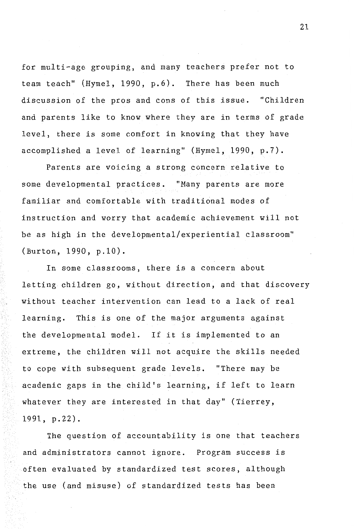for multi-age grouping, and many teachers prefer not to team teach" (Hymel, 1990, p.6). There has been much discussion of the pros and cons of this issue. "Children and parents like to know where they are in terms of grade level, there is some comfort in knowing that they have accomplished a level of learning" (Hymel, 1990, p.7).

Parents are voicing a strong concern relative to some developmental practices. "Many parents are more familiar and comfortable with traditional modes of instruction and worry that academic achievement will not be as high in the developmental/experiential classroom" (Burton, 1990, p.10).

In some classrooms, there is a concern about letting children go, without direction, and that discovery without teacher intervention can lead to a lack of real learning. This is one of the major arguments against the developmental model. If it is implemented to an extreme, the children will not acquire the skills needed to cope with subsequent grade levels. "There may be academic gaps in the child's learning, if left to learn whatever they are interested in that day" (Tierrey, 1991, p.22).

The question of accountability is one that teachers and administrators cannot ignore. Program success is often evaluated by standardized test scores, although the use (and misuse) of standardized tests has been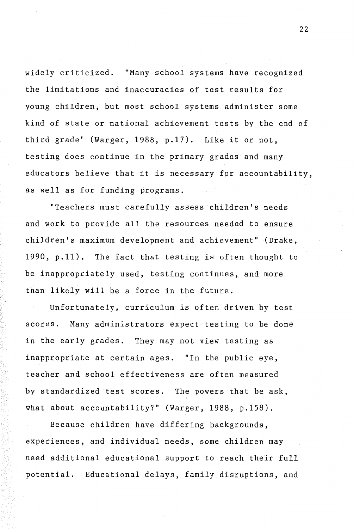widely criticized. "Many school systems have recognized the limitations and inaccuracies of test results for young children, but most school systems administer some kind of state or national achievement tests by the end of third grade" (Warger, 1988, p.17). Like it or not, testing does continue in the primary grades and many educators believe that it is necessary for accountability, as well as for funding programs.

"Teachers must carefully assess children's needs and work to provide all the resources needed to ensure children's maximum development and achievement" (Drake, 1990, **p.11).** The fact that testing is often thought to be inappropriately used, testing continues, and more than likely will be a force in the future.

Unfortunately, curriculum is often driven by test scores. Many administrators expect testing to be done in the early grades. They may not view testing as inappropriate at certain ages. "In the public eye, teacher and school effectiveness are often measured by standardized test scores. The powers that be ask, what about accountability?" (Warger, 1988, p.158).

Because children have differing backgrounds, experiences, and individual needs, some children may need additional educational support to reach their full potential. Educational delays, family disruptions, and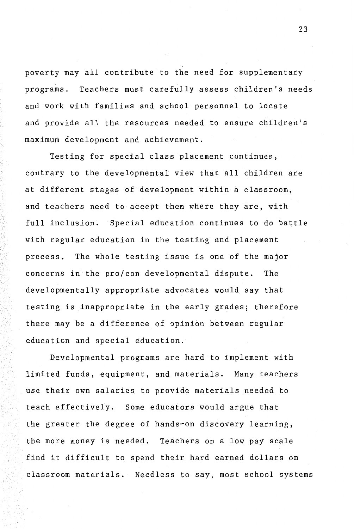poverty may all contribute to the need for supplementary programs. Teachers must carefully assess children's needs and work with families and school personnel to locate and provide all the resources needed to ensure children's maximum development and achievement.

Testing for special class placement continues, contrary to the developmental view that all children are at different stages of development within a classroom, and teachers need to accept them where they are, with full inclusion. Special education continues to do battle with regular education in the testing and placement process. The whole testing issue is one of the major concerns in the pro/con developmental dispute. The developmentally appropriate advocates would say that testing is inappropriate in the early grades; therefore there may be a difference of opinion between regular education and special education.

Developmental programs are hard to implement with limited funds, equipment, and materials. Many teachers use their own salaries to provide materials needed to teach effectively. Some educators would argue that the greater the degree of hands-on discovery learning, the more money is needed. Teachers on a low pay scale find it difficult to spend their hard earned dollars on classroom materials. Needless to say, most school systems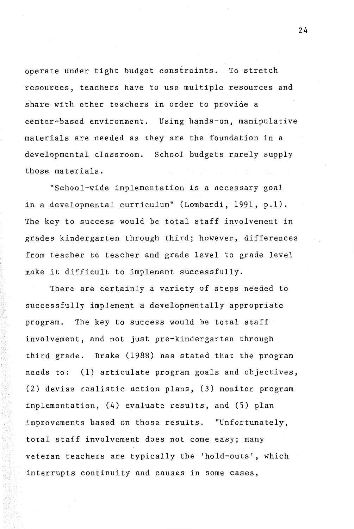operate under tight budget constraints. To stretch resources, teachers have to use multiple resources and share with other teachers in order to provide a center-based environment. Using hands-on, manipulative materials are needed as they are the foundation in a developmental classroom. School budgets rarely supply those materials.

"School-wide implementation is a necessary goal in a developmental curriculum" (Lombardi, 1991, p.1). The key to success would be total staff involvement in grades kindergarten through third; however, differences from teacher to teacher and grade level to grade level make it difficult to implement successfully.

There are certainly a variety of steps needed to successfully implement a developmentally appropriate program. The key to success would be total staff involvement, and not just pre-kindergarten through third grade. Drake (1988) has stated that the program needs to: (1) articulate program goals and objectives, (2) devise realistic action plans, (3) monitor program implementation, (4) evaluate results, and (5) plan improvements based on those results. "Unfortunately, total staff involvement does not come easy; many veteran teachers are typically the 'hold-outs', which interrupts continuity and causes in some cases,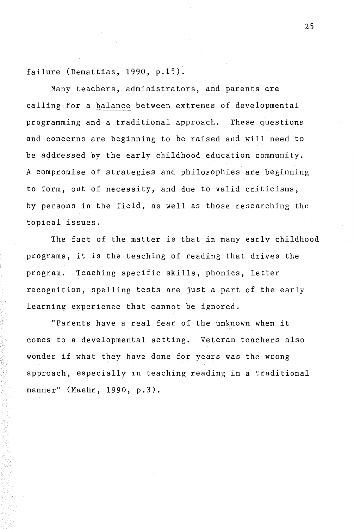failure (Demattias, 1990, p.15).

Many teachers, administrators, and parents are calling for a balance between extremes of developmental programming and a traditional approach. These questions and concerns are beginning to be raised and will need to be addressed by the early childhood education community. A compromise of strategies and philosophies are beginning to form, out of necessity, and due to valid criticisms, by persons in the field, as well as those researching the topical issues.

The fact of the matter is that in many early childhood programs, it is the teaching of reading that drives the program. Teaching specific skills, phonics, letter recognition, spelling tests are just a part of the early learning experience that cannot be ignored.

"Parents have a real fear of the unknown when it comes to a developmental setting. Veteran teachers also wonder if what they have done for years was the wrong approach, especially in teaching reading in a traditional manner" (Maehr, 1990, p.3).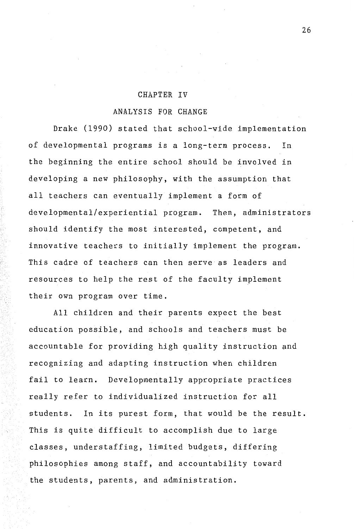#### CHAPTER IV

### ANALYSIS FOR CHANGE

Drake (1990) stated that school-wide implementation of developmental programs is a long-term process. In the beginning the entire school should be involved in developing a new philosophy, with the assumption that all teachers can eventually implement a form of developmental/experiential program. Then, administrators should identify the most interested, competent, and innovative teachers to initially implement the program. This cadre of teachers can then serve as leaders and resources to help the rest of the faculty implement their own program over time.

All children and their parents expect the best education possible, and schools and teachers must be accountable for providing high quality instruction and recognizing and adapting instruction when children fail to learn. Developmentally appropriate practices really refer to individualized instruction for all students. In its purest form, that would be the result. This is quite difficult to accomplish due to large classes, understaffing, limited budgets, differing philosophies among staff, and accountability toward the students, parents, and administration.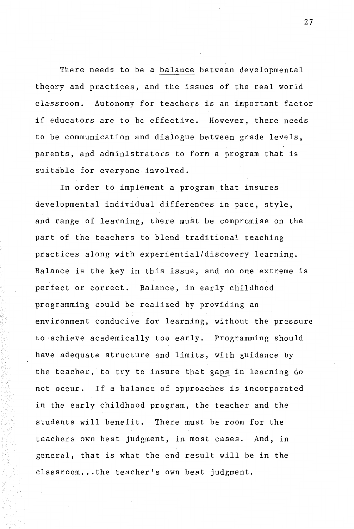There needs to be a balance between developmental theory and practices, and the issues of the real world classroom. Autonomy for teachers is an important factor if educators are to be effective. However, there needs to be communication and dialogue between grade levels, parents, and administrators to form a program that is suitable for everyone involved.

In order to implement a program that insures developmental individual differences in pace, style, and range of learning, there must be compromise on the part of the teachers to blend traditional teaching practices along with experiential/discovery learning. Balance is the key in this issue, and no one extreme is perfect or correct. Balance, in early childhood programming could be realized by providing an environment conducive for learning, without the pressure to ·achieve academically too early. Programming should have adequate structure and limits, with guidance by the teacher, to try to insure that gaps in learning do not occur. If a balance of approaches is incorporated in the early childhood program, the teacher and the students will benefit. There must be room for the teachers own best judgment, in most cases. And, in general, that is what the end result will be in the classroom...the teacher's own best judgment.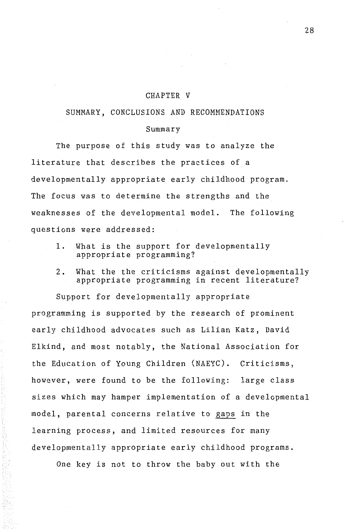#### CHAPTER V

#### SUMMARY, CONCLUSIONS AND RECOMMENDATIONS

#### Summary

The purpose of this study was to analyze the literature that describes the practices of a developmentally appropriate early childhood program. The focus was to determine the strengths and the weaknesses of the developmental model. The following questions were addressed:

- 1. What is the support for developmentally appropriate programming?
- 2. What the the criticisms against developmentally appropriate programming in recent literature?

Support for developmentally appropriate programming is supported by the research of prominent early childhood advocates such as Lilian Katz, David Elkind, and most notably, the National Association for the Education of Young Children (NAEYC). Criticisms, however, were found to be the following: large class sizes which may hamper implementation of a developmental model, parental concerns relative to gaps in the learning process, and limited resources for many developmentally appropriate early childhood programs.

One key is not to throw the baby out with the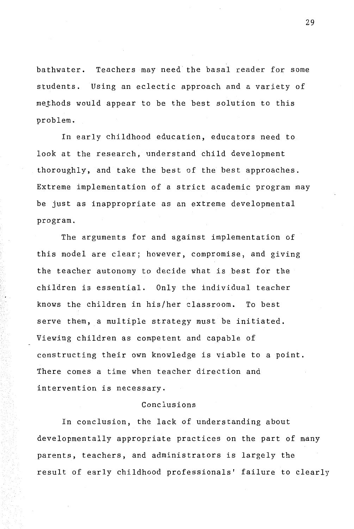bathwater. Teachers may need the basal reader for some students. Using an eclectic approach and a variety of methods would appear to be the best solution to this problem.

In early childhood education, educators need to look at the research, understand child development thoroughly, and take the best of the best approaches. Extreme implementation of a strict academic program may be just as inappropriate as an extreme developmental program.

The arguments for and against implementation of this model are clear; however, compromise, and giving the teacher autonomy to decide what is best for the children is essential. Only the individual teacher knows the children in his/her classroom. To best serve them, a multiple strategy must be initiated. Viewing children as competent and capable of constructing their own knowledge is viable to a point. There comes a time when teacher direction and intervention is necessary.

### Conclusions

In conclusion, the lack of understanding about developmentally appropriate practices on the part of many parents, teachers, and administrators is largely the result of early childhood professionals' failure to clearly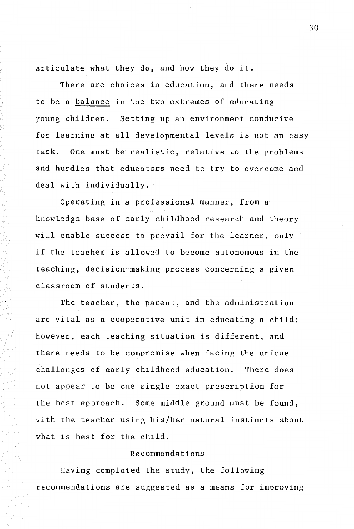articulate what they do, and how they do it.

There are choices in education, and there needs to be a balance in the two extremes of educating young children. Setting up an environment conducive for learning at all developmental levels is not an easy task. One must be realistic, relative to the problems and hurdles that educators need to try to overcome and deal with individually.

Operating in a professional manner, from a knowledge base of early childhood research and theory will enable success to prevail for the learner, only if the teacher is allowed to become autonomous in the teaching, decision-making process concerning a given classroom of students.

The teacher, the parent, and the administration are vital as a cooperative unit in educating a child; however, each teaching situation is different, and there needs to be compromise when facing the unique challenges of early childhood education. There does not appear to be one single exact prescription for the best approach. Some middle ground must be found, with the teacher using his/her natural instincts about what is best for the child.

# Recommendations

Having completed the study, the following recommendations are suggested as a means for improving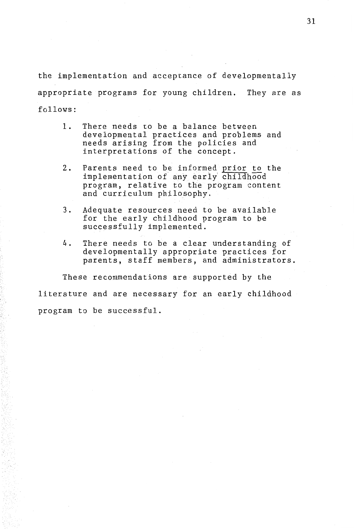the implementation and acceptance of developmentally appropriate programs for young children. They are as follows:

- 1. There needs to be a balance between developmental practices and problems and needs arising from the policies and interpretations of the concept.
- 2. Parents need to be informed prior to the implementation of any early' childhood program, relative to the program content and curriculum philosophy.
- 3. Adequate resources need to be available for the early childhood program to be successfully implemented.
- 4. There needs to be a clear understanding of developmentally appropriate practices for parents, staff members, and administrators.

These recommendations are supported by the literature and are necessary for an early childhood program to be successful.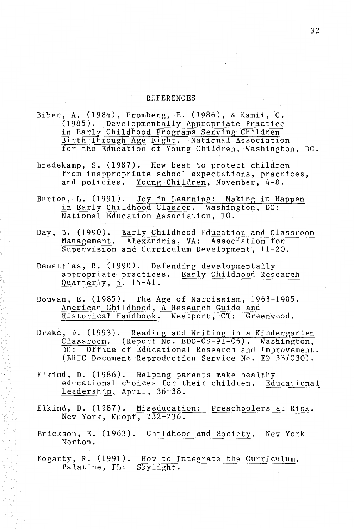#### REFERENCES

- Biber, A. (1984), Fromberg, E. (1986), & Kamii, C. (1985). Developmentally Appropriate Practice in Early Childhood Programs Serving Children Birth Through Age Eight. National Association for the Education of Young Children, Washington, DC.
- Bredekamp, S. (1987). How best to protect children from inappropriate school expectations, practices, and policies. Young Children, November, 4-8.
- Burton, L. (1991). Joy in Learning: Making it Happen in Early Childhood Classes. Washington, DC: National Education Association, 10.
- Day, B. (1990). Early Childhood Education and Classroom Management. Alexandria, VA: Association for Supervision and Curriculum Development, 11-20.
- Demattias, R. (1990). Defending developmentally appropriate practices. Early Childhood Research Quarterly, 5, 15-41.
- Douvan, E. (1985). The Age of Narcissism, 1963-1985. American Childhood, A Research Guide and Historical Handbook. Westport, CT: Greenwood.
- Drake, D. (1993). Reading and Writing in a Kindergarten Classroom. (Report No. EDO-CS-91-06). Washington, DC: Office of Educational Research and Improvement. (ERIC Document Reproduction Service No. ED 33/030).
- Elkind, D. (1986). Helping parents make healthy educational choices for their children. Educational Leadership, April, 36-38.
- Elkind, D. (1987). Miseducation: Preschoolers at Risk. New York, Knopf, 232-236.
- Erickson, E. (1963). Childhood and Society. New York Norton.
- Fogarty, R. (1991). How to Integrate the Curriculum. Palatine, IL: Skylight.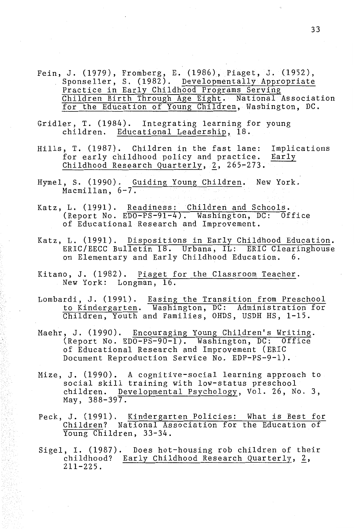- Fein, J. (1979), Fromberg, E. (1986), Piaget, J. (1952), Sponseller, S. (1982). Developmentally Appropriate Practice in Early Childhood Programs Serving Children Birth Through Age Eight. National Association for the Education of Young Children, Washington, DC.
- Gridler, T. (1984). Integrating learning for young children. Educational Leadership, 18.
- Hills, T. (1987). Children in the fast lane: Implications for early childhood policy and practice. Childhood Research Quarterly,  $2$ , 265-273. Early
- Hymel, S. (1990). Guiding Young Children. New York. Macmillan,  $6-7$ .
- Katz, L. (1991). Readiness: Children and Schools. (Report No. EDO-PS-91-4). Washington, DC: Office of Educational Research and Improvement.
- Katz, L. (1991). Dispositions in Early Childhood Education. ERIC/EECC Bulletin 18. Urbana, IL: ERIC Clearinghouse on Elementary and Early Childhood Education. 6.
- Kitano, J. (1982). Piaget for the Classroom Teacher. New York: Longman, 16.
- Lombardi, J. (1991). Easing the Transition from Preschool to Kindergarten. Washington, DC: Administration for Children, Youth and Families, OHDS, USDH HS, 1-15.
- Maehr, J. (1990). Encouraging Young Children's Writing. (Report No. EDO-PS-90-1). Washington, DC: Office of Educational Research and Improvement (ERIC Document Reproduction Service No. EDP-PS-9-1).
- Mize, J. (1990). A cognitive-social learning approach to social skill training with low-status preschool children. Developmental Psychology, Vol. 26, No. 3, May, 388-397.
- Peck, J. (1991). Kindergarten Policies: What is Best for Children? National Association for the Education of Young Children, 33-34.
- Sigel, I. (1987). Does hot-housing rob children of their childhood? Early Childhood Research Quarterly, 2, 211-225.